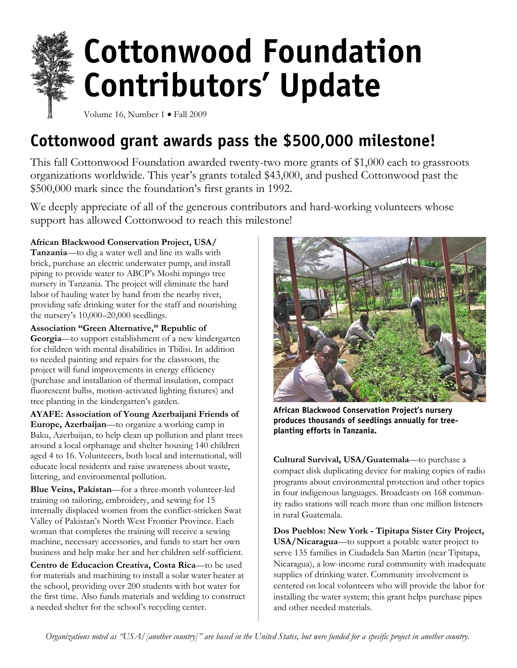

Volume 16, Number 1 • Fall 2009

# Cottonwood grant awards pass the \$500,000 milestone!

This fall Cottonwood Foundation awarded twenty-two more grants of \$1,000 each to grassroots organizations worldwide. This year's grants totaled \$43,000, and pushed Cottonwood past the \$500,000 mark since the foundation's first grants in 1992.

We deeply appreciate of all of the generous contributors and hard-working volunteers whose support has allowed Cottonwood to reach this milestone!

**African Blackwood Conservation Project, USA/** 

**Tanzania**—to dig a water well and line its walls with brick, purchase an electric underwater pump, and install piping to provide water to ABCP's Moshi mpingo tree nursery in Tanzania. The project will eliminate the hard labor of hauling water by hand from the nearby river, providing safe drinking water for the staff and nourishing the nursery's 10,000–20,000 seedlings.

**Association "Green Alternative," Republic of Georgia**—to support establishment of a new kindergarten for children with mental disabilities in Tbilisi. In addition to needed painting and repairs for the classroom, the project will fund improvements in energy efficiency (purchase and installation of thermal insulation, compact fluorescent bulbs, motion-activated lighting fixtures) and tree planting in the kindergarten's garden.

**AYAFE: Association of Young Azerbaijani Friends of Europe, Azerbaijan**—to organize a working camp in Baku, Azerbaijan, to help clean up pollution and plant trees around a local orphanage and shelter housing 140 children aged 4 to 16. Volunteeers, both local and international, will educate local residents and raise awareness about waste, littering, and environmental pollution.

**Blue Veins, Pakistan**—for a three-month volunteer-led training on tailoring, embroidery, and sewing for 15 internally displaced women from the conflict-stricken Swat Valley of Pakistan's North West Frontier Province. Each woman that completes the training will receive a sewing machine, necessary accessories, and funds to start her own business and help make her and her children self-sufficient.

**Centro de Educacion Creativa, Costa Rica**—to be used for materials and machining to install a solar water heater at the school, providing over 200 students with hot water for the first time. Also funds materials and welding to construct a needed shelter for the school's recycling center.



African Blackwood Conservation Project's nursery produces thousands of seedlings annually for treeplanting efforts in Tanzania.

**Cultural Survival, USA/Guatemala**—to purchase a compact disk duplicating device for making copies of radio programs about environmental protection and other topics in four indigenous languages. Broadcasts on 168 community radio stations will reach more than one million listeners in rural Guatemala.

**Dos Pueblos: New York - Tipitapa Sister City Project, USA/Nicaragua**—to support a potable water project to serve 135 families in Ciudadela San Martin (near Tipitapa, Nicaragua), a low-income rural community with inadequate supplies of drinking water. Community involvement is centered on local volunteers who will provide the labor for installing the water system; this grant helps purchase pipes and other needed materials.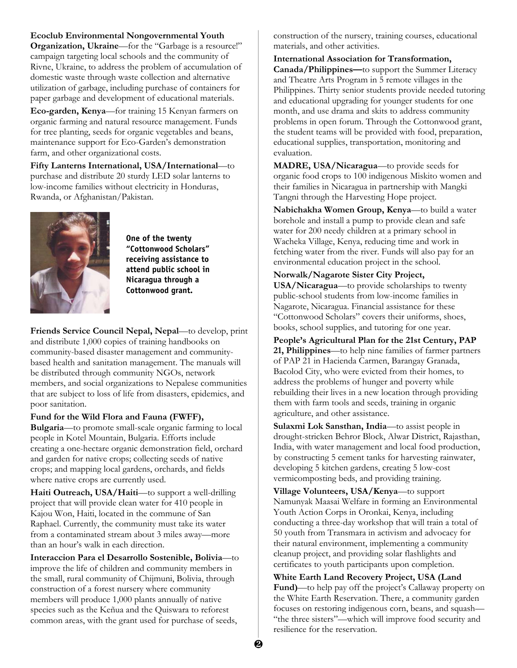### **Ecoclub Environmental Nongovernmental Youth**

**Organization, Ukraine**—for the "Garbage is a resource!" campaign targeting local schools and the community of Rivne, Ukraine, to address the problem of accumulation of domestic waste through waste collection and alternative utilization of garbage, including purchase of containers for paper garbage and development of educational materials.

**Eco-garden, Kenya**—for training 15 Kenyan farmers on organic farming and natural resource management. Funds for tree planting, seeds for organic vegetables and beans, maintenance support for Eco-Garden's demonstration farm, and other organizational costs.

**Fifty Lanterns International, USA/International**—to purchase and distribute 20 sturdy LED solar lanterns to low-income families without electricity in Honduras, Rwanda, or Afghanistan/Pakistan.



One of the twenty "Cottonwood Scholars" receiving assistance to attend public school in Nicaragua through a Cottonwood grant.

**Friends Service Council Nepal, Nepal**—to develop, print and distribute 1,000 copies of training handbooks on community-based disaster management and communitybased health and sanitation management. The manuals will be distributed through community NGOs, network members, and social organizations to Nepalese communities that are subject to loss of life from disasters, epidemics, and poor sanitation.

#### **Fund for the Wild Flora and Fauna (FWFF),**

**Bulgaria**—to promote small-scale organic farming to local people in Kotel Mountain, Bulgaria. Efforts include creating a one-hectare organic demonstration field, orchard and garden for native crops; collecting seeds of native crops; and mapping local gardens, orchards, and fields where native crops are currently used.

**Haiti Outreach, USA/Haiti**—to support a well-drilling project that will provide clean water for 410 people in Kajou Won, Haiti, located in the commune of San Raphael. Currently, the community must take its water from a contaminated stream about 3 miles away—more than an hour's walk in each direction.

**Interaccion Para el Desarrollo Sostenible, Bolivia**—to improve the life of children and community members in the small, rural community of Chijmuni, Bolivia, through construction of a forest nursery where community members will produce 1,000 plants annually of native species such as the Keñua and the Quiswara to reforest common areas, with the grant used for purchase of seeds,

construction of the nursery, training courses, educational materials, and other activities.

**International Association for Transformation, Canada/Philippines—**to support the Summer Literacy and Theatre Arts Program in 5 remote villages in the Philippines. Thirty senior students provide needed tutoring and educational upgrading for younger students for one month, and use drama and skits to address community problems in open forum. Through the Cottonwood grant, the student teams will be provided with food, preparation, educational supplies, transportation, monitoring and evaluation.

**MADRE, USA/Nicaragua**—to provide seeds for organic food crops to 100 indigenous Miskito women and their families in Nicaragua in partnership with Mangki Tangni through the Harvesting Hope project.

**Nabichakha Women Group, Kenya**—to build a water borehole and install a pump to provide clean and safe water for 200 needy children at a primary school in Wacheka Village, Kenya, reducing time and work in fetching water from the river. Funds will also pay for an environmental education project in the school.

#### **Norwalk/Nagarote Sister City Project,**

**USA/Nicaragua**—to provide scholarships to twenty public-school students from low-income families in Nagarote, Nicaragua. Financial assistance for these "Cottonwood Scholars" covers their uniforms, shoes, books, school supplies, and tutoring for one year.

**People's Agricultural Plan for the 21st Century, PAP 21, Philippines**—to help nine families of farmer partners of PAP 21 in Hacienda Carmen, Barangay Granada, Bacolod City, who were evicted from their homes, to address the problems of hunger and poverty while rebuilding their lives in a new location through providing them with farm tools and seeds, training in organic agriculture, and other assistance.

**Sulaxmi Lok Sansthan, India**—to assist people in drought-stricken Behror Block, Alwar District, Rajasthan, India, with water management and local food production, by constructing 5 cement tanks for harvesting rainwater, developing 5 kitchen gardens, creating 5 low-cost vermicomposting beds, and providing training.

**Village Volunteers, USA/Kenya**—to support Namunyak Maasai Welfare in forming an Environmental Youth Action Corps in Oronkai, Kenya, including conducting a three-day workshop that will train a total of 50 youth from Transmara in activism and advocacy for their natural environment, implementing a community cleanup project, and providing solar flashlights and certificates to youth participants upon completion.

**White Earth Land Recovery Project, USA (Land Fund)**—to help pay off the project's Callaway property on the White Earth Reservation. There, a community garden focuses on restoring indigenous corn, beans, and squash— "the three sisters"—which will improve food security and resilience for the reservation.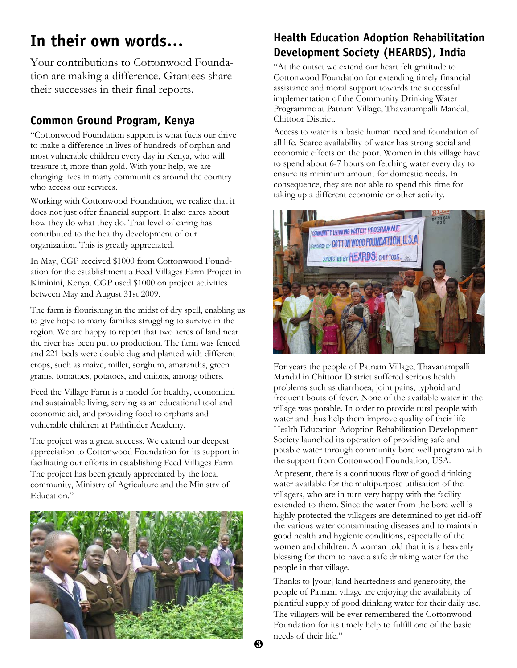# In their own words…

Your contributions to Cottonwood Foundation are making a difference. Grantees share their successes in their final reports.

## Common Ground Program, Kenya

"Cottonwood Foundation support is what fuels our drive to make a difference in lives of hundreds of orphan and most vulnerable children every day in Kenya, who will treasure it, more than gold. With your help, we are changing lives in many communities around the country who access our services.

Working with Cottonwood Foundation, we realize that it does not just offer financial support. It also cares about how they do what they do. That level of caring has contributed to the healthy development of our organization. This is greatly appreciated.

In May, CGP received \$1000 from Cottonwood Foundation for the establishment a Feed Villages Farm Project in Kiminini, Kenya. CGP used \$1000 on project activities between May and August 31st 2009.

The farm is flourishing in the midst of dry spell, enabling us to give hope to many families struggling to survive in the region. We are happy to report that two acres of land near the river has been put to production. The farm was fenced and 221 beds were double dug and planted with different crops, such as maize, millet, sorghum, amaranths, green grams, tomatoes, potatoes, and onions, among others.

Feed the Village Farm is a model for healthy, economical and sustainable living, serving as an educational tool and economic aid, and providing food to orphans and vulnerable children at Pathfinder Academy.

The project was a great success. We extend our deepest appreciation to Cottonwood Foundation for its support in facilitating our efforts in establishing Feed Villages Farm. The project has been greatly appreciated by the local community, Ministry of Agriculture and the Ministry of Education."



## Health Education Adoption Rehabilitation Development Society (HEARDS), India

"At the outset we extend our heart felt gratitude to Cottonwood Foundation for extending timely financial assistance and moral support towards the successful implementation of the Community Drinking Water Programme at Patnam Village, Thavanampalli Mandal, Chittoor District.

Access to water is a basic human need and foundation of all life. Scarce availability of water has strong social and economic effects on the poor. Women in this village have to spend about 6-7 hours on fetching water every day to ensure its minimum amount for domestic needs. In consequence, they are not able to spend this time for taking up a different economic or other activity.



For years the people of Patnam Village, Thavanampalli Mandal in Chittoor District suffered serious health problems such as diarrhoea, joint pains, typhoid and frequent bouts of fever. None of the available water in the village was potable. In order to provide rural people with water and thus help them improve quality of their life Health Education Adoption Rehabilitation Development Society launched its operation of providing safe and potable water through community bore well program with the support from Cottonwood Foundation, USA.

At present, there is a continuous flow of good drinking water available for the multipurpose utilisation of the villagers, who are in turn very happy with the facility extended to them. Since the water from the bore well is highly protected the villagers are determined to get rid-off the various water contaminating diseases and to maintain good health and hygienic conditions, especially of the women and children. A woman told that it is a heavenly blessing for them to have a safe drinking water for the people in that village.

Thanks to [your] kind heartedness and generosity, the people of Patnam village are enjoying the availability of plentiful supply of good drinking water for their daily use. The villagers will be ever remembered the Cottonwood Foundation for its timely help to fulfill one of the basic needs of their life."